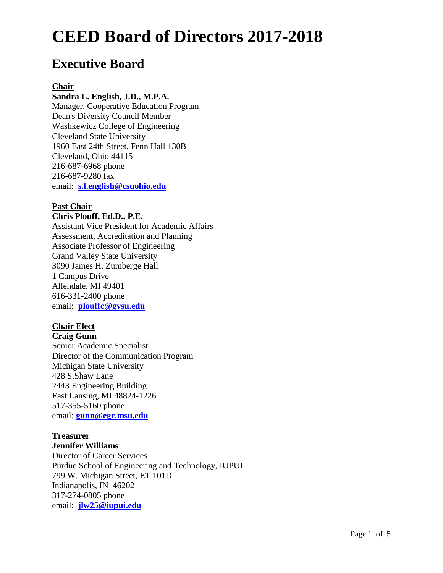# **Executive Board**

#### **Chair**

#### **Sandra L. English, J.D., M.P.A.**

Manager, Cooperative Education Program Dean's Diversity Council Member Washkewicz College of Engineering Cleveland State University 1960 East 24th Street, Fenn Hall 130B Cleveland, Ohio 44115 216-687-6968 phone 216-687-9280 fax email: **[s.l.english@csuohio.edu](mailto:s.l.english@csuohio.edu)**

#### **Past Chair**

#### **Chris Plouff, Ed.D., P.E.**

Assistant Vice President for Academic Affairs Assessment, Accreditation and Planning Associate Professor of Engineering Grand Valley State University 3090 James H. Zumberge Hall 1 Campus Drive Allendale, MI 49401 616-331-2400 phone email: **[plouffc@gvsu.edu](mailto:plouffc@gvsu.edu)**

#### **Chair Elect**

### **Craig Gunn** Senior Academic Specialist Director of the Communication Program Michigan State University 428 S.Shaw Lane 2443 Engineering Building East Lansing, MI 48824-1226 517-355-5160 phone email: **[gunn@egr.msu.edu](mailto:gunn@egr.msu.edu)**

#### **Treasurer**

#### **Jennifer Williams**

Director of Career Services Purdue School of Engineering and Technology, IUPUI 799 W. Michigan Street, ET 101D Indianapolis, IN 46202 317-274-0805 phone email: **[jlw25@iupui.edu](mailto:jlw25@iupui.edu)**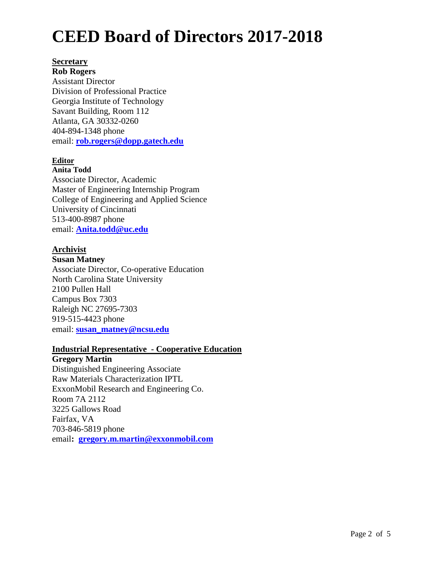#### **Secretary**

**Rob Rogers** Assistant Director Division of Professional Practice Georgia Institute of Technology Savant Building, Room 112 Atlanta, GA 30332-0260 404-894-1348 phone email: **[rob.rogers@dopp.gatech.edu](mailto:rob.rogers@dopp.gatech.edu)**

#### **Editor**

#### **Anita Todd**

email: **[Anita.todd@uc.edu](mailto:Anita.todd@uc.edu)** Associate Director, Academic Master of Engineering Internship Program College of Engineering and Applied Science University of Cincinnati 513-400-8987 phone

# **Archivist**

#### **Susan Matney**

Associate Director, Co-operative Education North Carolina State University 2100 Pullen Hall Campus Box 7303 Raleigh NC 27695-7303 919-515-4423 phone email: **[susan\\_matney@ncsu.edu](mailto:susan_matney@ncsu.edu)**

#### **Industrial Representative - Cooperative Education**

**Gregory Martin** Distinguished Engineering Associate Raw Materials Characterization IPTL ExxonMobil Research and Engineering Co. Room 7A 2112 3225 Gallows Road Fairfax, VA 703-846-5819 phone email**: [gregory.m.martin@exxonmobil.com](mailto:gregory.m.martin@exxonmobil.com)**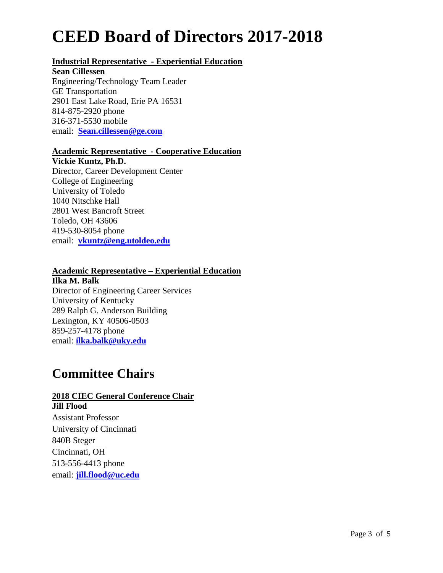# **Industrial Representative - Experiential Education**

#### **Sean Cillessen**

Engineering/Technology Team Leader GE Transportation 2901 East Lake Road, Erie PA 16531 814-875-2920 phone 316-371-5530 mobile email: **[Sean.cillessen@ge.com](mailto:Sean.cillessen@ge.com)**

### **Academic Representative - Cooperative Education**

**Vickie Kuntz, Ph.D.**

Director, Career Development Center College of Engineering University of Toledo 1040 Nitschke Hall 2801 West Bancroft Street Toledo, OH 43606 419-530-8054 phone email: **[vkuntz@eng.utoldeo.edu](mailto:vkuntz@eng.utoldeo.edu)**

### **Academic Representative – Experiential Education**

**Ilka M. Balk** Director of Engineering Career Services University of Kentucky 289 Ralph G. Anderson Building Lexington, KY 40506-0503 859-257-4178 phone email: **[ilka.balk@uky.edu](mailto:ibalk@engr.uky.edu)**

# **Committee Chairs**

# **2018 CIEC General Conference Chair**

**Jill Flood** Assistant Professor University of Cincinnati 840B Steger Cincinnati, OH 513-556-4413 phone email: **[jill.flood@uc.edu](mailto:jill.flood@uc.edu)**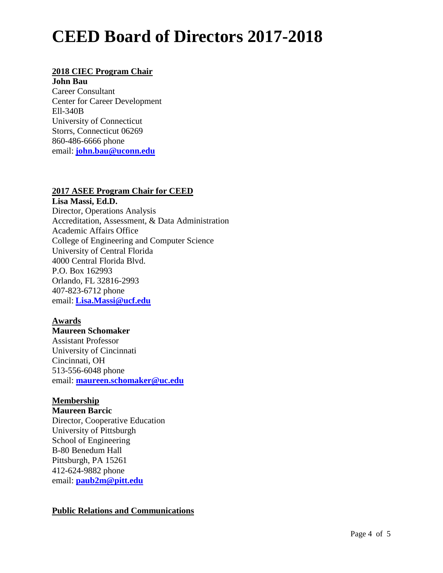## **2018 CIEC Program Chair**

**John Bau** Career Consultant Center for Career Development Ell-340B University of Connecticut Storrs, Connecticut 06269 860-486-6666 phone email: **[john.bau@uconn.edu](mailto:john.bau@uconn.edu)**

### **2017 ASEE Program Chair for CEED**

**Lisa Massi, Ed.D.** Director, Operations Analysis Accreditation, Assessment, & Data Administration Academic Affairs Office College of Engineering and Computer Science University of Central Florida 4000 Central Florida Blvd. P.O. Box 162993 Orlando, FL 32816-2993 407-823-6712 phone email: **[Lisa.Massi@ucf.edu](mailto:Lisa.Massi@ucf.edu)**

#### **Awards**

**Maureen Schomaker** Assistant Professor University of Cincinnati Cincinnati, OH 513-556-6048 phone email: **[maureen.schomaker@uc.edu](mailto:maureen.schomaker@uc.edu)**

# **Membership**

**Maureen Barcic** Director, Cooperative Education University of Pittsburgh School of Engineering B-80 Benedum Hall Pittsburgh, PA 15261 412-624-9882 phone email: **[paub2m@pitt.edu](mailto:paub2m@pitt.edu)**

# **Public Relations and Communications**